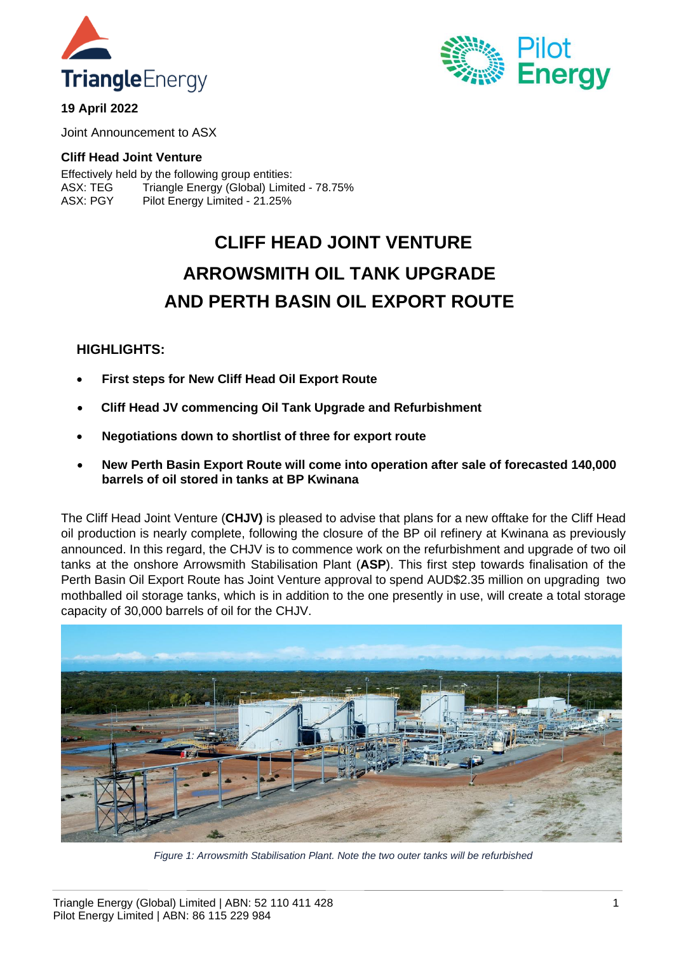



**19 April 2022**

Joint Announcement to ASX

## **Cliff Head Joint Venture**

Effectively held by the following group entities: ASX: TEG Triangle Energy (Global) Limited - 78.75% ASX: PGY Pilot Energy Limited - 21.25%

# **CLIFF HEAD JOINT VENTURE ARROWSMITH OIL TANK UPGRADE AND PERTH BASIN OIL EXPORT ROUTE**

## **HIGHLIGHTS:**

- **First steps for New Cliff Head Oil Export Route**
- **Cliff Head JV commencing Oil Tank Upgrade and Refurbishment**
- **Negotiations down to shortlist of three for export route**
- **New Perth Basin Export Route will come into operation after sale of forecasted 140,000 barrels of oil stored in tanks at BP Kwinana**

The Cliff Head Joint Venture (**CHJV)** is pleased to advise that plans for a new offtake for the Cliff Head oil production is nearly complete, following the closure of the BP oil refinery at Kwinana as previously announced. In this regard, the CHJV is to commence work on the refurbishment and upgrade of two oil tanks at the onshore Arrowsmith Stabilisation Plant (**ASP**). This first step towards finalisation of the Perth Basin Oil Export Route has Joint Venture approval to spend AUD\$2.35 million on upgrading two mothballed oil storage tanks, which is in addition to the one presently in use, will create a total storage capacity of 30,000 barrels of oil for the CHJV.



*Figure 1: Arrowsmith Stabilisation Plant. Note the two outer tanks will be refurbished*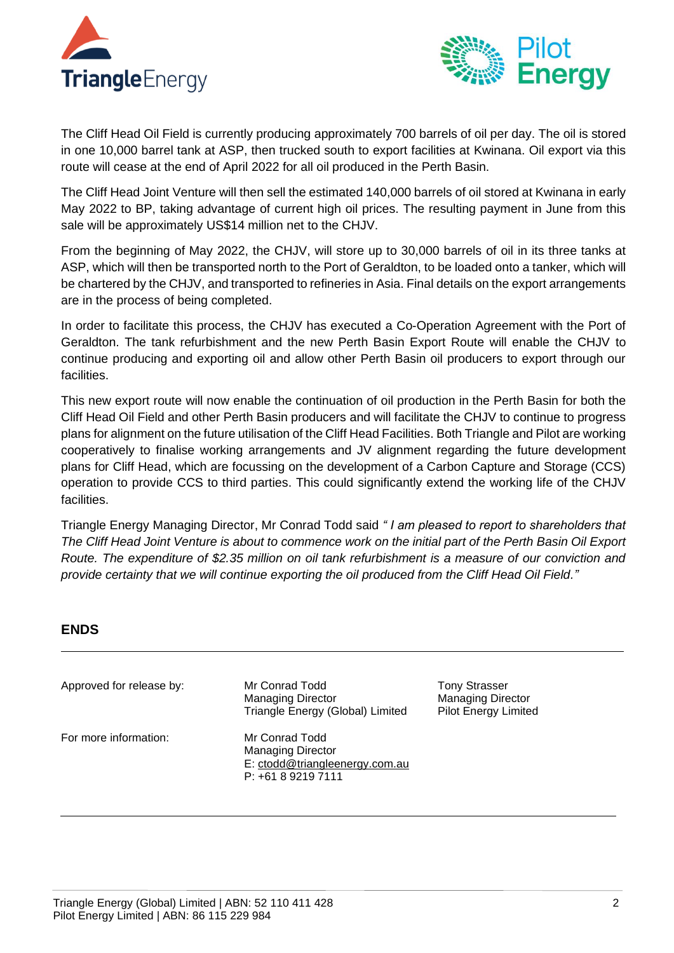



The Cliff Head Oil Field is currently producing approximately 700 barrels of oil per day. The oil is stored in one 10,000 barrel tank at ASP, then trucked south to export facilities at Kwinana. Oil export via this route will cease at the end of April 2022 for all oil produced in the Perth Basin.

The Cliff Head Joint Venture will then sell the estimated 140,000 barrels of oil stored at Kwinana in early May 2022 to BP, taking advantage of current high oil prices. The resulting payment in June from this sale will be approximately US\$14 million net to the CHJV.

From the beginning of May 2022, the CHJV, will store up to 30,000 barrels of oil in its three tanks at ASP, which will then be transported north to the Port of Geraldton, to be loaded onto a tanker, which will be chartered by the CHJV, and transported to refineries in Asia. Final details on the export arrangements are in the process of being completed.

In order to facilitate this process, the CHJV has executed a Co-Operation Agreement with the Port of Geraldton. The tank refurbishment and the new Perth Basin Export Route will enable the CHJV to continue producing and exporting oil and allow other Perth Basin oil producers to export through our facilities.

This new export route will now enable the continuation of oil production in the Perth Basin for both the Cliff Head Oil Field and other Perth Basin producers and will facilitate the CHJV to continue to progress plans for alignment on the future utilisation of the Cliff Head Facilities. Both Triangle and Pilot are working cooperatively to finalise working arrangements and JV alignment regarding the future development plans for Cliff Head, which are focussing on the development of a Carbon Capture and Storage (CCS) operation to provide CCS to third parties. This could significantly extend the working life of the CHJV facilities.

Triangle Energy Managing Director, Mr Conrad Todd said *" I am pleased to report to shareholders that The Cliff Head Joint Venture is about to commence work on the initial part of the Perth Basin Oil Export Route. The expenditure of \$2.35 million on oil tank refurbishment is a measure of our conviction and provide certainty that we will continue exporting the oil produced from the Cliff Head Oil Field."*

# **ENDS**

Approved for release by: Mr Conrad Todd

For more information: Mr Conrad Todd

Managing Director Triangle Energy (Global) Limited

Managing Director E: [ctodd@triangleenergy.com.au](mailto:ctodd@triangleenergy.com.au) P: +61 8 9219 7111

Tony Strasser Managing Director Pilot Energy Limited